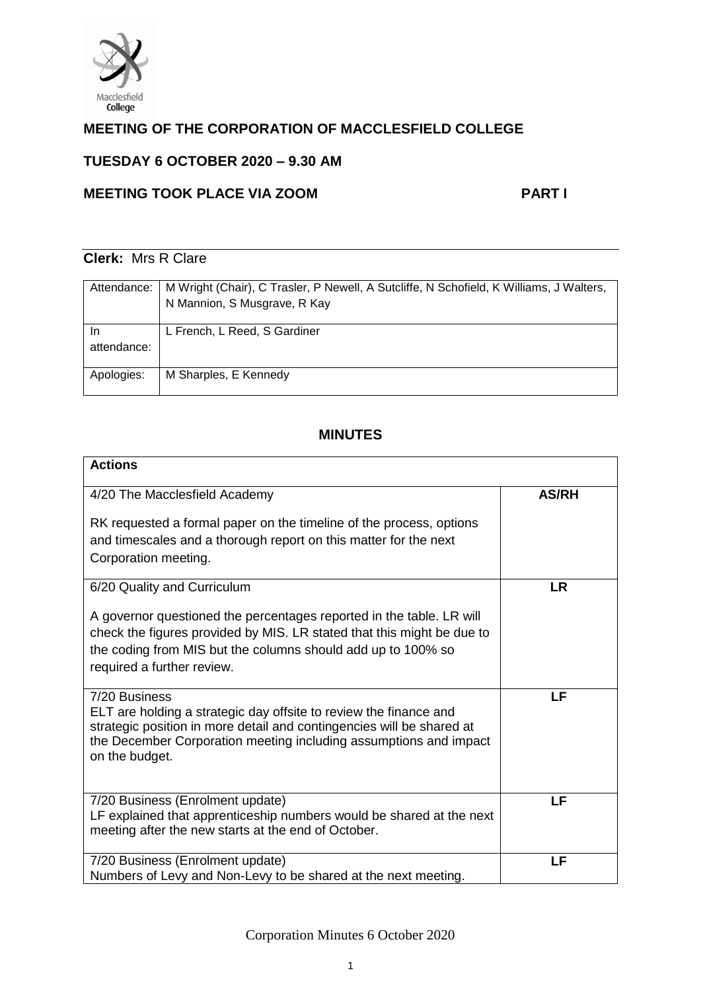

# **MEETING OF THE CORPORATION OF MACCLESFIELD COLLEGE**

## **TUESDAY 6 OCTOBER 2020 – 9.30 AM**

## **MEETING TOOK PLACE VIA ZOOM PART I**

# **Clerk:** Mrs R Clare

| Attendance:       | M Wright (Chair), C Trasler, P Newell, A Sutcliffe, N Schofield, K Williams, J Walters,<br>N Mannion, S Musgrave, R Kay |
|-------------------|-------------------------------------------------------------------------------------------------------------------------|
| In<br>attendance: | L French, L Reed, S Gardiner                                                                                            |
| Apologies:        | M Sharples, E Kennedy                                                                                                   |

## **MINUTES**

| <b>Actions</b>                                                                                                                                                                                                                                                              |              |
|-----------------------------------------------------------------------------------------------------------------------------------------------------------------------------------------------------------------------------------------------------------------------------|--------------|
| 4/20 The Macclesfield Academy<br>RK requested a formal paper on the timeline of the process, options<br>and timescales and a thorough report on this matter for the next<br>Corporation meeting.                                                                            | <b>AS/RH</b> |
| 6/20 Quality and Curriculum<br>A governor questioned the percentages reported in the table. LR will<br>check the figures provided by MIS. LR stated that this might be due to<br>the coding from MIS but the columns should add up to 100% so<br>required a further review. | <b>LR</b>    |
| 7/20 Business<br>ELT are holding a strategic day offsite to review the finance and<br>strategic position in more detail and contingencies will be shared at<br>the December Corporation meeting including assumptions and impact<br>on the budget.                          | LF           |
| 7/20 Business (Enrolment update)<br>LF explained that apprenticeship numbers would be shared at the next<br>meeting after the new starts at the end of October.                                                                                                             | LF           |
| 7/20 Business (Enrolment update)<br>Numbers of Levy and Non-Levy to be shared at the next meeting.                                                                                                                                                                          | LF           |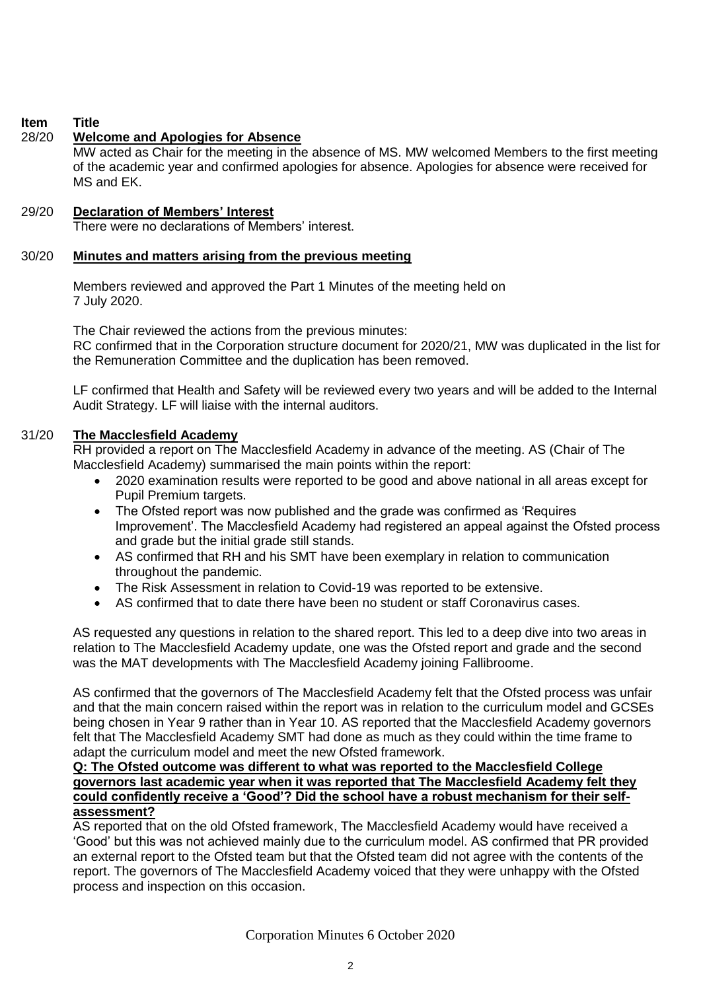## **Item Title**

## 28/20 **Welcome and Apologies for Absence**

MW acted as Chair for the meeting in the absence of MS. MW welcomed Members to the first meeting of the academic year and confirmed apologies for absence. Apologies for absence were received for MS and EK.

## 29/20 **Declaration of Members' Interest**

There were no declarations of Members' interest.

## 30/20 **Minutes and matters arising from the previous meeting**

Members reviewed and approved the Part 1 Minutes of the meeting held on 7 July 2020.

The Chair reviewed the actions from the previous minutes: RC confirmed that in the Corporation structure document for 2020/21, MW was duplicated in the list for the Remuneration Committee and the duplication has been removed.

LF confirmed that Health and Safety will be reviewed every two years and will be added to the Internal Audit Strategy. LF will liaise with the internal auditors.

## 31/20 **The Macclesfield Academy**

RH provided a report on The Macclesfield Academy in advance of the meeting. AS (Chair of The Macclesfield Academy) summarised the main points within the report:

- 2020 examination results were reported to be good and above national in all areas except for Pupil Premium targets.
- The Ofsted report was now published and the grade was confirmed as 'Requires' Improvement'. The Macclesfield Academy had registered an appeal against the Ofsted process and grade but the initial grade still stands.
- AS confirmed that RH and his SMT have been exemplary in relation to communication throughout the pandemic.
- The Risk Assessment in relation to Covid-19 was reported to be extensive.
- AS confirmed that to date there have been no student or staff Coronavirus cases.

AS requested any questions in relation to the shared report. This led to a deep dive into two areas in relation to The Macclesfield Academy update, one was the Ofsted report and grade and the second was the MAT developments with The Macclesfield Academy joining Fallibroome.

AS confirmed that the governors of The Macclesfield Academy felt that the Ofsted process was unfair and that the main concern raised within the report was in relation to the curriculum model and GCSEs being chosen in Year 9 rather than in Year 10. AS reported that the Macclesfield Academy governors felt that The Macclesfield Academy SMT had done as much as they could within the time frame to adapt the curriculum model and meet the new Ofsted framework.

### **Q: The Ofsted outcome was different to what was reported to the Macclesfield College governors last academic year when it was reported that The Macclesfield Academy felt they could confidently receive a 'Good'? Did the school have a robust mechanism for their selfassessment?**

AS reported that on the old Ofsted framework, The Macclesfield Academy would have received a 'Good' but this was not achieved mainly due to the curriculum model. AS confirmed that PR provided an external report to the Ofsted team but that the Ofsted team did not agree with the contents of the report. The governors of The Macclesfield Academy voiced that they were unhappy with the Ofsted process and inspection on this occasion.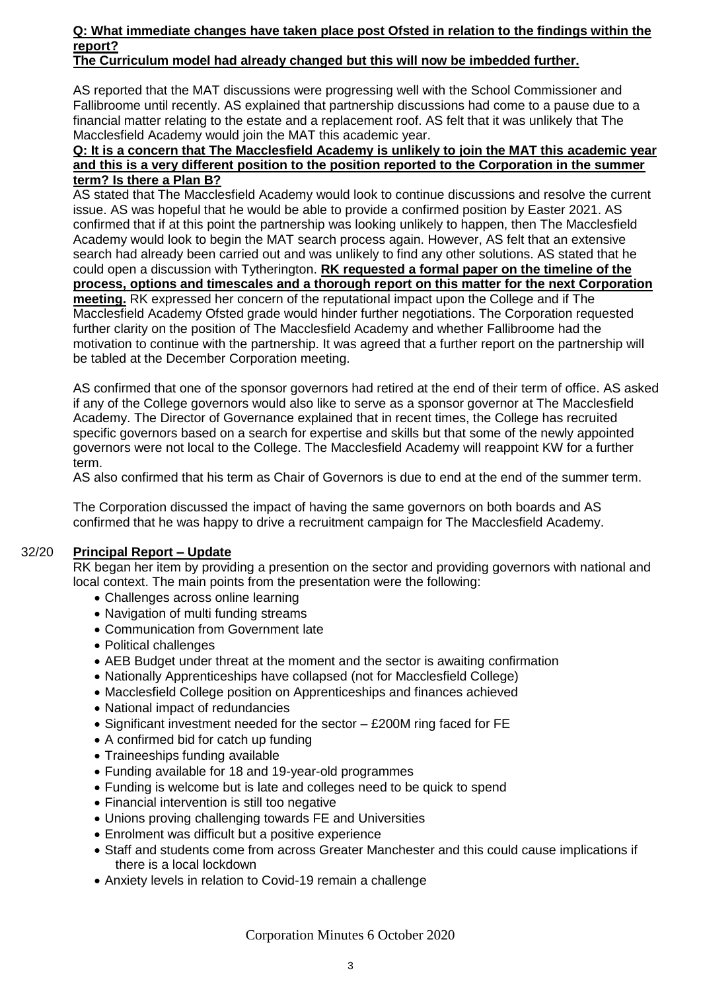### **Q: What immediate changes have taken place post Ofsted in relation to the findings within the report?**

## **The Curriculum model had already changed but this will now be imbedded further.**

AS reported that the MAT discussions were progressing well with the School Commissioner and Fallibroome until recently. AS explained that partnership discussions had come to a pause due to a financial matter relating to the estate and a replacement roof. AS felt that it was unlikely that The Macclesfield Academy would join the MAT this academic year.

#### **Q: It is a concern that The Macclesfield Academy is unlikely to join the MAT this academic year and this is a very different position to the position reported to the Corporation in the summer term? Is there a Plan B?**

AS stated that The Macclesfield Academy would look to continue discussions and resolve the current issue. AS was hopeful that he would be able to provide a confirmed position by Easter 2021. AS confirmed that if at this point the partnership was looking unlikely to happen, then The Macclesfield Academy would look to begin the MAT search process again. However, AS felt that an extensive search had already been carried out and was unlikely to find any other solutions. AS stated that he could open a discussion with Tytherington. **RK requested a formal paper on the timeline of the process, options and timescales and a thorough report on this matter for the next Corporation meeting.** RK expressed her concern of the reputational impact upon the College and if The Macclesfield Academy Ofsted grade would hinder further negotiations. The Corporation requested further clarity on the position of The Macclesfield Academy and whether Fallibroome had the motivation to continue with the partnership. It was agreed that a further report on the partnership will be tabled at the December Corporation meeting.

AS confirmed that one of the sponsor governors had retired at the end of their term of office. AS asked if any of the College governors would also like to serve as a sponsor governor at The Macclesfield Academy. The Director of Governance explained that in recent times, the College has recruited specific governors based on a search for expertise and skills but that some of the newly appointed governors were not local to the College. The Macclesfield Academy will reappoint KW for a further term.

AS also confirmed that his term as Chair of Governors is due to end at the end of the summer term.

The Corporation discussed the impact of having the same governors on both boards and AS confirmed that he was happy to drive a recruitment campaign for The Macclesfield Academy.

## 32/20 **Principal Report – Update**

RK began her item by providing a presention on the sector and providing governors with national and local context. The main points from the presentation were the following:

- Challenges across online learning
- Navigation of multi funding streams
- Communication from Government late
- Political challenges
- AEB Budget under threat at the moment and the sector is awaiting confirmation
- Nationally Apprenticeships have collapsed (not for Macclesfield College)
- Macclesfield College position on Apprenticeships and finances achieved
- National impact of redundancies
- Significant investment needed for the sector £200M ring faced for FE
- A confirmed bid for catch up funding
- Traineeships funding available
- Funding available for 18 and 19-year-old programmes
- Funding is welcome but is late and colleges need to be quick to spend
- Financial intervention is still too negative
- Unions proving challenging towards FE and Universities
- Enrolment was difficult but a positive experience
- Staff and students come from across Greater Manchester and this could cause implications if there is a local lockdown
- Anxiety levels in relation to Covid-19 remain a challenge

Corporation Minutes 6 October 2020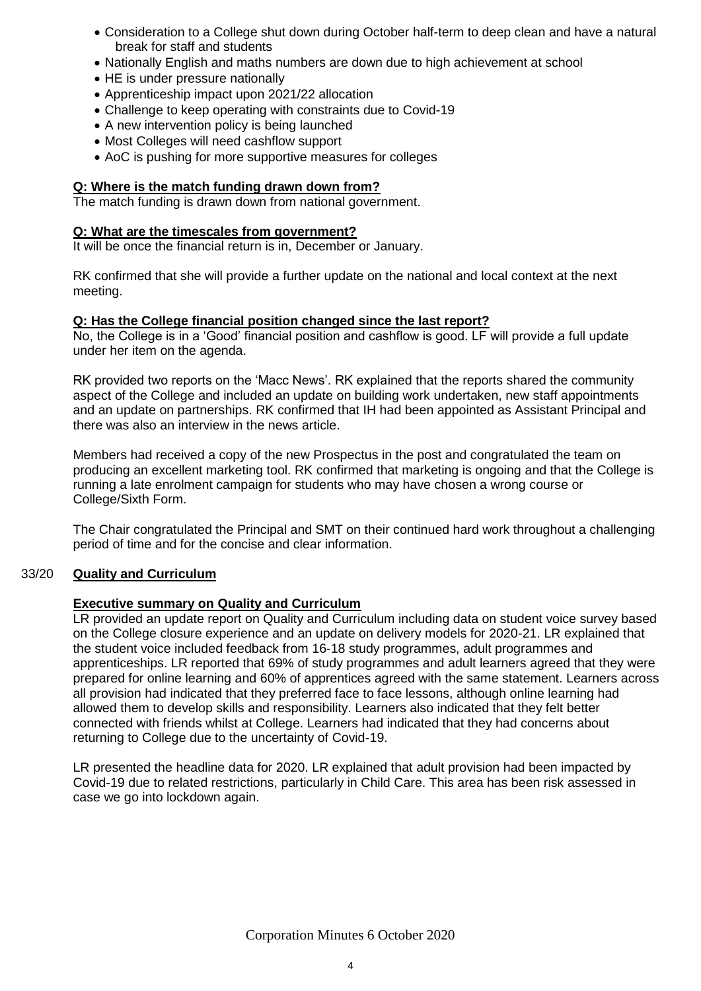- Consideration to a College shut down during October half-term to deep clean and have a natural break for staff and students
- Nationally English and maths numbers are down due to high achievement at school
- HE is under pressure nationally
- Apprenticeship impact upon 2021/22 allocation
- Challenge to keep operating with constraints due to Covid-19
- A new intervention policy is being launched
- Most Colleges will need cashflow support
- AoC is pushing for more supportive measures for colleges

## **Q: Where is the match funding drawn down from?**

The match funding is drawn down from national government.

## **Q: What are the timescales from government?**

It will be once the financial return is in, December or January.

RK confirmed that she will provide a further update on the national and local context at the next meeting.

#### **Q: Has the College financial position changed since the last report?**

No, the College is in a 'Good' financial position and cashflow is good. LF will provide a full update under her item on the agenda.

RK provided two reports on the 'Macc News'. RK explained that the reports shared the community aspect of the College and included an update on building work undertaken, new staff appointments and an update on partnerships. RK confirmed that IH had been appointed as Assistant Principal and there was also an interview in the news article.

Members had received a copy of the new Prospectus in the post and congratulated the team on producing an excellent marketing tool. RK confirmed that marketing is ongoing and that the College is running a late enrolment campaign for students who may have chosen a wrong course or College/Sixth Form.

The Chair congratulated the Principal and SMT on their continued hard work throughout a challenging period of time and for the concise and clear information.

## 33/20 **Quality and Curriculum**

## **Executive summary on Quality and Curriculum**

LR provided an update report on Quality and Curriculum including data on student voice survey based on the College closure experience and an update on delivery models for 2020-21. LR explained that the student voice included feedback from 16-18 study programmes, adult programmes and apprenticeships. LR reported that 69% of study programmes and adult learners agreed that they were prepared for online learning and 60% of apprentices agreed with the same statement. Learners across all provision had indicated that they preferred face to face lessons, although online learning had allowed them to develop skills and responsibility. Learners also indicated that they felt better connected with friends whilst at College. Learners had indicated that they had concerns about returning to College due to the uncertainty of Covid-19.

LR presented the headline data for 2020. LR explained that adult provision had been impacted by Covid-19 due to related restrictions, particularly in Child Care. This area has been risk assessed in case we go into lockdown again.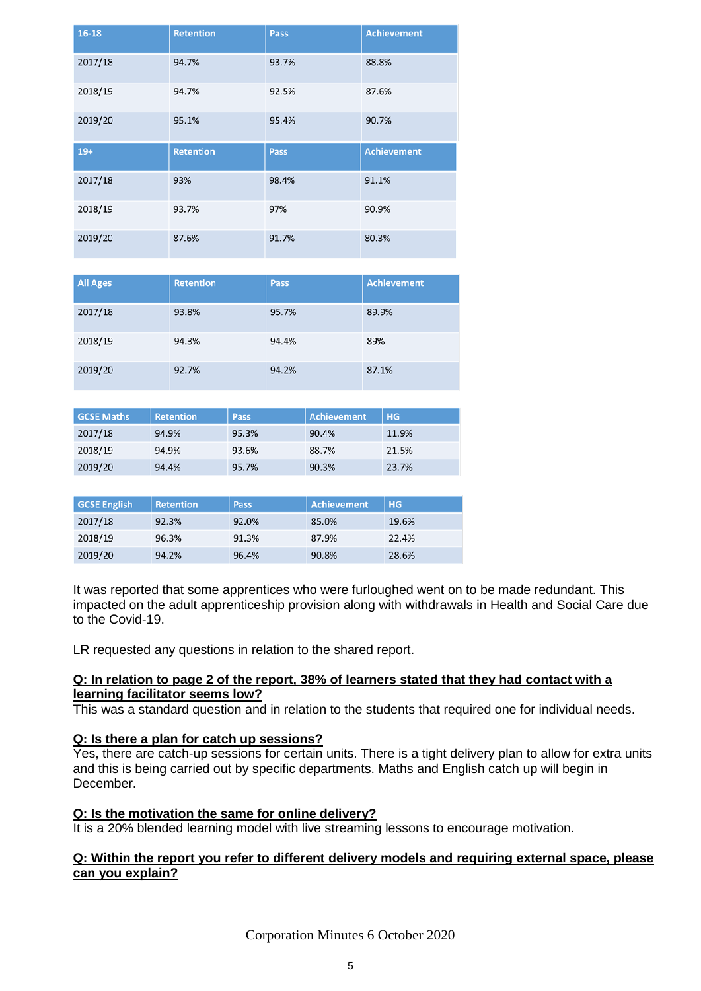| $16-18$ | <b>Retention</b> | <b>Pass</b> | <b>Achievement</b> |
|---------|------------------|-------------|--------------------|
| 2017/18 | 94.7%            | 93.7%       | 88.8%              |
| 2018/19 | 94.7%            | 92.5%       | 87.6%              |
| 2019/20 | 95.1%            | 95.4%       | 90.7%              |
| $19+$   | <b>Retention</b> | <b>Pass</b> | <b>Achievement</b> |
| 2017/18 | 93%              | 98.4%       | 91.1%              |
| 2018/19 | 93.7%            | 97%         | 90.9%              |
| 2019/20 | 87.6%            | 91.7%       | 80.3%              |

| <b>All Ages</b> | <b>Retention</b> | Pass  | <b>Achievement</b> |
|-----------------|------------------|-------|--------------------|
| 2017/18         | 93.8%            | 95.7% | 89.9%              |
| 2018/19         | 94.3%            | 94.4% | 89%                |
| 2019/20         | 92.7%            | 94.2% | 87.1%              |

| <b>GCSE Maths</b> | <b>Retention</b> | Pass  | Achievement | H <sub>G</sub> |
|-------------------|------------------|-------|-------------|----------------|
| 2017/18           | 94.9%            | 95.3% | 90.4%       | 11.9%          |
| 2018/19           | 94.9%            | 93.6% | 88.7%       | 21.5%          |
| 2019/20           | 94.4%            | 95.7% | 90.3%       | 23.7%          |

| <b>GCSE English</b> | <b>Retention</b> | Pass  | <b>Achievement</b> | <b>HG</b> |
|---------------------|------------------|-------|--------------------|-----------|
| 2017/18             | 92.3%            | 92.0% | 85.0%              | 19.6%     |
| 2018/19             | 96.3%            | 91.3% | 87.9%              | 22.4%     |
| 2019/20             | 94.2%            | 96.4% | 90.8%              | 28.6%     |

It was reported that some apprentices who were furloughed went on to be made redundant. This impacted on the adult apprenticeship provision along with withdrawals in Health and Social Care due to the Covid-19.

LR requested any questions in relation to the shared report.

## **Q: In relation to page 2 of the report, 38% of learners stated that they had contact with a learning facilitator seems low?**

This was a standard question and in relation to the students that required one for individual needs.

## **Q: Is there a plan for catch up sessions?**

Yes, there are catch-up sessions for certain units. There is a tight delivery plan to allow for extra units and this is being carried out by specific departments. Maths and English catch up will begin in December.

## **Q: Is the motivation the same for online delivery?**

It is a 20% blended learning model with live streaming lessons to encourage motivation.

## **Q: Within the report you refer to different delivery models and requiring external space, please can you explain?**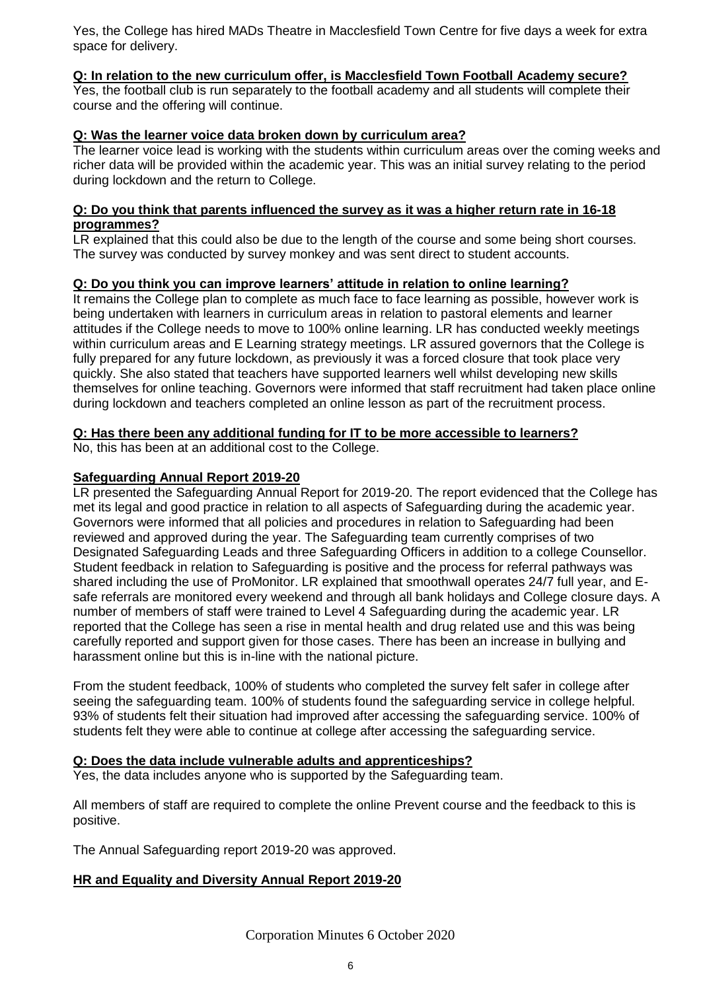Yes, the College has hired MADs Theatre in Macclesfield Town Centre for five days a week for extra space for delivery.

## **Q: In relation to the new curriculum offer, is Macclesfield Town Football Academy secure?**

Yes, the football club is run separately to the football academy and all students will complete their course and the offering will continue.

#### **Q: Was the learner voice data broken down by curriculum area?**

The learner voice lead is working with the students within curriculum areas over the coming weeks and richer data will be provided within the academic year. This was an initial survey relating to the period during lockdown and the return to College.

#### **Q: Do you think that parents influenced the survey as it was a higher return rate in 16-18 programmes?**

LR explained that this could also be due to the length of the course and some being short courses. The survey was conducted by survey monkey and was sent direct to student accounts.

#### **Q: Do you think you can improve learners' attitude in relation to online learning?**

It remains the College plan to complete as much face to face learning as possible, however work is being undertaken with learners in curriculum areas in relation to pastoral elements and learner attitudes if the College needs to move to 100% online learning. LR has conducted weekly meetings within curriculum areas and E Learning strategy meetings. LR assured governors that the College is fully prepared for any future lockdown, as previously it was a forced closure that took place very quickly. She also stated that teachers have supported learners well whilst developing new skills themselves for online teaching. Governors were informed that staff recruitment had taken place online during lockdown and teachers completed an online lesson as part of the recruitment process.

#### **Q: Has there been any additional funding for IT to be more accessible to learners?**

No, this has been at an additional cost to the College.

#### **Safeguarding Annual Report 2019-20**

LR presented the Safeguarding Annual Report for 2019-20. The report evidenced that the College has met its legal and good practice in relation to all aspects of Safeguarding during the academic year. Governors were informed that all policies and procedures in relation to Safeguarding had been reviewed and approved during the year. The Safeguarding team currently comprises of two Designated Safeguarding Leads and three Safeguarding Officers in addition to a college Counsellor. Student feedback in relation to Safeguarding is positive and the process for referral pathways was shared including the use of ProMonitor. LR explained that smoothwall operates 24/7 full year, and Esafe referrals are monitored every weekend and through all bank holidays and College closure days. A number of members of staff were trained to Level 4 Safeguarding during the academic year. LR reported that the College has seen a rise in mental health and drug related use and this was being carefully reported and support given for those cases. There has been an increase in bullying and harassment online but this is in-line with the national picture.

From the student feedback, 100% of students who completed the survey felt safer in college after seeing the safeguarding team. 100% of students found the safeguarding service in college helpful. 93% of students felt their situation had improved after accessing the safeguarding service. 100% of students felt they were able to continue at college after accessing the safeguarding service.

#### **Q: Does the data include vulnerable adults and apprenticeships?**

Yes, the data includes anyone who is supported by the Safeguarding team.

All members of staff are required to complete the online Prevent course and the feedback to this is positive.

The Annual Safeguarding report 2019-20 was approved.

## **HR and Equality and Diversity Annual Report 2019-20**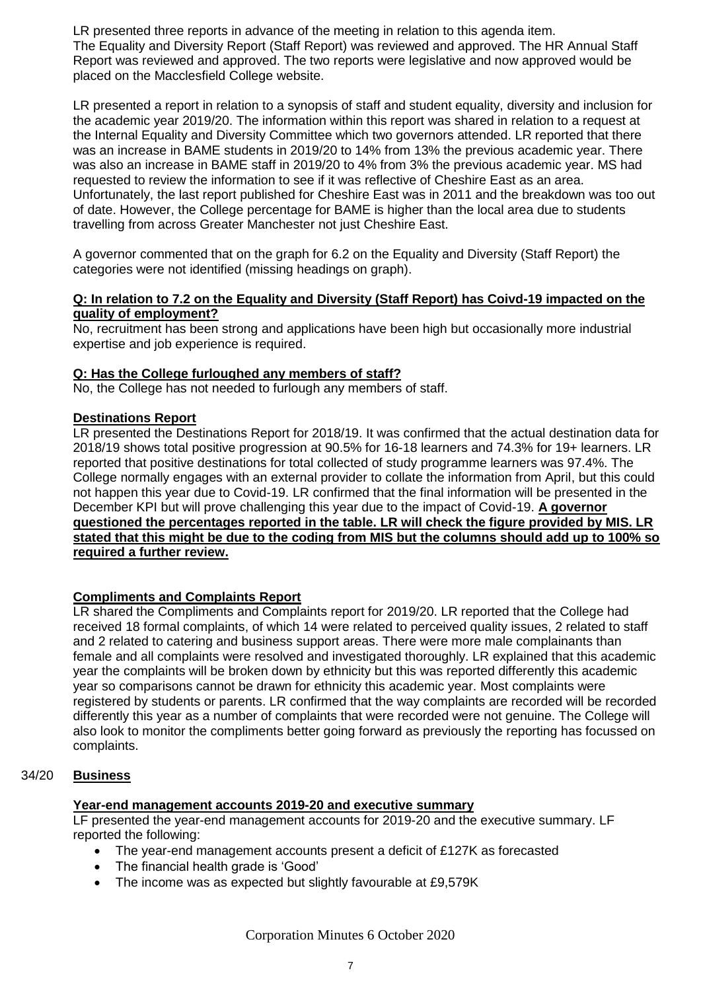LR presented three reports in advance of the meeting in relation to this agenda item. The Equality and Diversity Report (Staff Report) was reviewed and approved. The HR Annual Staff Report was reviewed and approved. The two reports were legislative and now approved would be placed on the Macclesfield College website.

LR presented a report in relation to a synopsis of staff and student equality, diversity and inclusion for the academic year 2019/20. The information within this report was shared in relation to a request at the Internal Equality and Diversity Committee which two governors attended. LR reported that there was an increase in BAME students in 2019/20 to 14% from 13% the previous academic year. There was also an increase in BAME staff in 2019/20 to 4% from 3% the previous academic year. MS had requested to review the information to see if it was reflective of Cheshire East as an area. Unfortunately, the last report published for Cheshire East was in 2011 and the breakdown was too out of date. However, the College percentage for BAME is higher than the local area due to students travelling from across Greater Manchester not just Cheshire East.

A governor commented that on the graph for 6.2 on the Equality and Diversity (Staff Report) the categories were not identified (missing headings on graph).

### **Q: In relation to 7.2 on the Equality and Diversity (Staff Report) has Coivd-19 impacted on the quality of employment?**

No, recruitment has been strong and applications have been high but occasionally more industrial expertise and job experience is required.

## **Q: Has the College furloughed any members of staff?**

No, the College has not needed to furlough any members of staff.

## **Destinations Report**

LR presented the Destinations Report for 2018/19. It was confirmed that the actual destination data for 2018/19 shows total positive progression at 90.5% for 16-18 learners and 74.3% for 19+ learners. LR reported that positive destinations for total collected of study programme learners was 97.4%. The College normally engages with an external provider to collate the information from April, but this could not happen this year due to Covid-19. LR confirmed that the final information will be presented in the December KPI but will prove challenging this year due to the impact of Covid-19. **A governor questioned the percentages reported in the table. LR will check the figure provided by MIS. LR stated that this might be due to the coding from MIS but the columns should add up to 100% so required a further review.**

## **Compliments and Complaints Report**

LR shared the Compliments and Complaints report for 2019/20. LR reported that the College had received 18 formal complaints, of which 14 were related to perceived quality issues, 2 related to staff and 2 related to catering and business support areas. There were more male complainants than female and all complaints were resolved and investigated thoroughly. LR explained that this academic year the complaints will be broken down by ethnicity but this was reported differently this academic year so comparisons cannot be drawn for ethnicity this academic year. Most complaints were registered by students or parents. LR confirmed that the way complaints are recorded will be recorded differently this year as a number of complaints that were recorded were not genuine. The College will also look to monitor the compliments better going forward as previously the reporting has focussed on complaints.

## 34/20 **Business**

## **Year-end management accounts 2019-20 and executive summary**

LF presented the year-end management accounts for 2019-20 and the executive summary. LF reported the following:

- The year-end management accounts present a deficit of £127K as forecasted
- The financial health grade is 'Good'
- The income was as expected but slightly favourable at £9,579K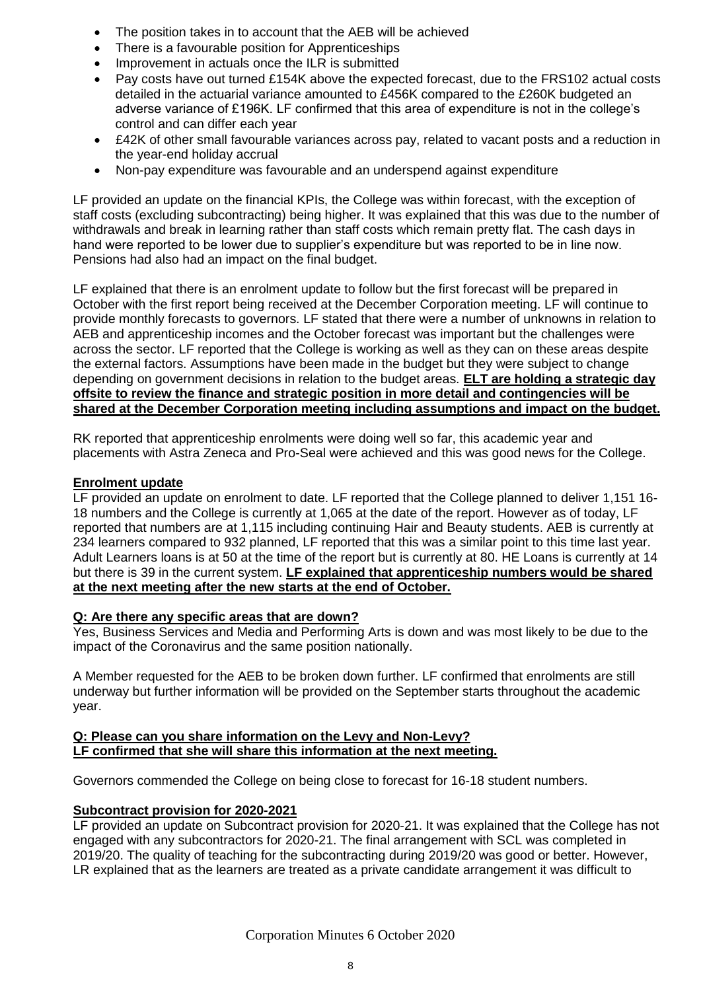- The position takes in to account that the AEB will be achieved
- There is a favourable position for Apprenticeships
- Improvement in actuals once the ILR is submitted
- Pay costs have out turned £154K above the expected forecast, due to the FRS102 actual costs detailed in the actuarial variance amounted to £456K compared to the £260K budgeted an adverse variance of £196K. LF confirmed that this area of expenditure is not in the college's control and can differ each year
- £42K of other small favourable variances across pay, related to vacant posts and a reduction in the year-end holiday accrual
- Non-pay expenditure was favourable and an underspend against expenditure

LF provided an update on the financial KPIs, the College was within forecast, with the exception of staff costs (excluding subcontracting) being higher. It was explained that this was due to the number of withdrawals and break in learning rather than staff costs which remain pretty flat. The cash days in hand were reported to be lower due to supplier's expenditure but was reported to be in line now. Pensions had also had an impact on the final budget.

LF explained that there is an enrolment update to follow but the first forecast will be prepared in October with the first report being received at the December Corporation meeting. LF will continue to provide monthly forecasts to governors. LF stated that there were a number of unknowns in relation to AEB and apprenticeship incomes and the October forecast was important but the challenges were across the sector. LF reported that the College is working as well as they can on these areas despite the external factors. Assumptions have been made in the budget but they were subject to change depending on government decisions in relation to the budget areas. **ELT are holding a strategic day offsite to review the finance and strategic position in more detail and contingencies will be shared at the December Corporation meeting including assumptions and impact on the budget.**

RK reported that apprenticeship enrolments were doing well so far, this academic year and placements with Astra Zeneca and Pro-Seal were achieved and this was good news for the College.

## **Enrolment update**

LF provided an update on enrolment to date. LF reported that the College planned to deliver 1,151 16- 18 numbers and the College is currently at 1,065 at the date of the report. However as of today, LF reported that numbers are at 1,115 including continuing Hair and Beauty students. AEB is currently at 234 learners compared to 932 planned, LF reported that this was a similar point to this time last year. Adult Learners loans is at 50 at the time of the report but is currently at 80. HE Loans is currently at 14 but there is 39 in the current system. **LF explained that apprenticeship numbers would be shared at the next meeting after the new starts at the end of October.**

## **Q: Are there any specific areas that are down?**

Yes, Business Services and Media and Performing Arts is down and was most likely to be due to the impact of the Coronavirus and the same position nationally.

A Member requested for the AEB to be broken down further. LF confirmed that enrolments are still underway but further information will be provided on the September starts throughout the academic year.

## **Q: Please can you share information on the Levy and Non-Levy? LF confirmed that she will share this information at the next meeting.**

Governors commended the College on being close to forecast for 16-18 student numbers.

## **Subcontract provision for 2020-2021**

LF provided an update on Subcontract provision for 2020-21. It was explained that the College has not engaged with any subcontractors for 2020-21. The final arrangement with SCL was completed in 2019/20. The quality of teaching for the subcontracting during 2019/20 was good or better. However, LR explained that as the learners are treated as a private candidate arrangement it was difficult to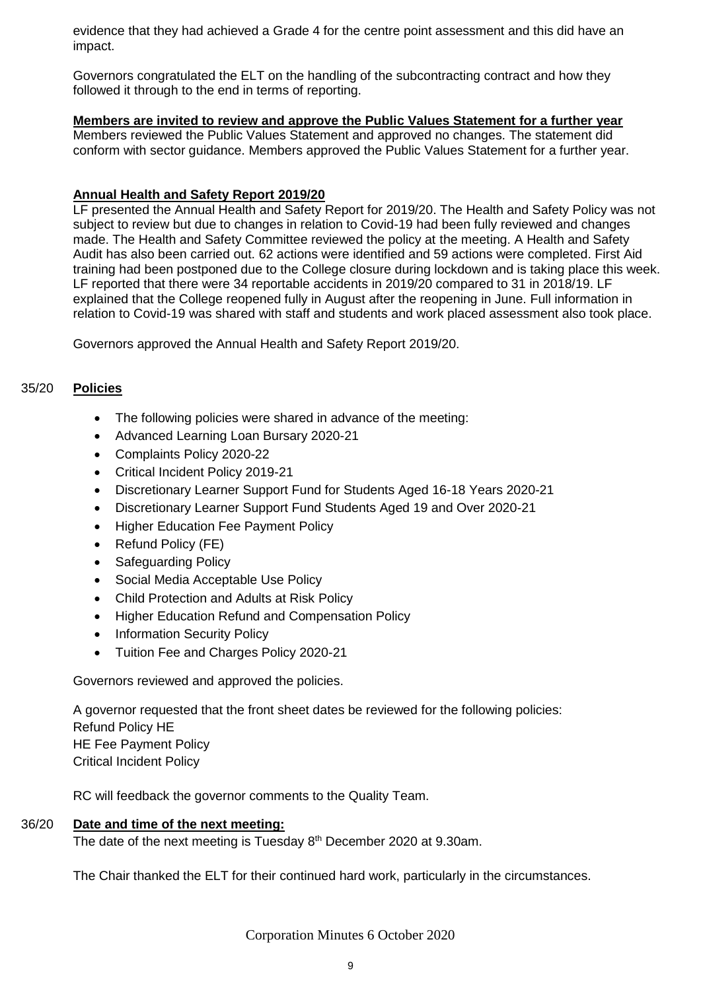evidence that they had achieved a Grade 4 for the centre point assessment and this did have an impact.

Governors congratulated the ELT on the handling of the subcontracting contract and how they followed it through to the end in terms of reporting.

## **Members are invited to review and approve the Public Values Statement for a further year**

Members reviewed the Public Values Statement and approved no changes. The statement did conform with sector guidance. Members approved the Public Values Statement for a further year.

## **Annual Health and Safety Report 2019/20**

LF presented the Annual Health and Safety Report for 2019/20. The Health and Safety Policy was not subject to review but due to changes in relation to Covid-19 had been fully reviewed and changes made. The Health and Safety Committee reviewed the policy at the meeting. A Health and Safety Audit has also been carried out. 62 actions were identified and 59 actions were completed. First Aid training had been postponed due to the College closure during lockdown and is taking place this week. LF reported that there were 34 reportable accidents in 2019/20 compared to 31 in 2018/19. LF explained that the College reopened fully in August after the reopening in June. Full information in relation to Covid-19 was shared with staff and students and work placed assessment also took place.

Governors approved the Annual Health and Safety Report 2019/20.

## 35/20 **Policies**

- The following policies were shared in advance of the meeting:
- Advanced Learning Loan Bursary 2020-21
- Complaints Policy 2020-22
- Critical Incident Policy 2019-21
- Discretionary Learner Support Fund for Students Aged 16-18 Years 2020-21
- Discretionary Learner Support Fund Students Aged 19 and Over 2020-21
- **Higher Education Fee Payment Policy**
- Refund Policy (FE)
- Safeguarding Policy
- Social Media Acceptable Use Policy
- Child Protection and Adults at Risk Policy
- Higher Education Refund and Compensation Policy
- **Information Security Policy**
- Tuition Fee and Charges Policy 2020-21

Governors reviewed and approved the policies.

A governor requested that the front sheet dates be reviewed for the following policies: Refund Policy HE HE Fee Payment Policy Critical Incident Policy

RC will feedback the governor comments to the Quality Team.

## 36/20 **Date and time of the next meeting:**

The date of the next meeting is Tuesday 8<sup>th</sup> December 2020 at 9.30am.

The Chair thanked the ELT for their continued hard work, particularly in the circumstances.

Corporation Minutes 6 October 2020